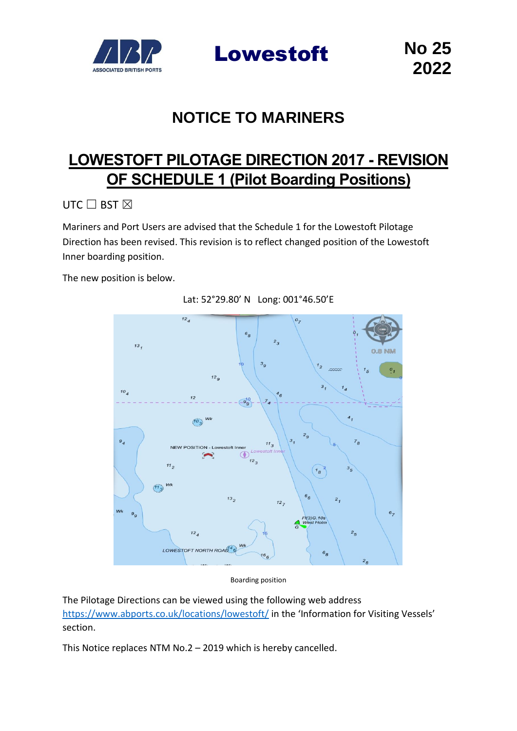

Lowestoft No 25

# **NOTICE TO MARINERS**

## **LOWESTOFT PILOTAGE DIRECTION 2017 - REVISION OF SCHEDULE 1 (Pilot Boarding Positions)**

UTC □ BST ⊠

Mariners and Port Users are advised that the Schedule 1 for the Lowestoft Pilotage Direction has been revised. This revision is to reflect changed position of the Lowestoft Inner boarding position.

The new position is below.



Lat: 52°29.80' N Long: 001°46.50'E

Boarding position

The Pilotage Directions can be viewed using the following web address <https://www.abports.co.uk/locations/lowestoft/> in the 'Information for Visiting Vessels' section.

This Notice replaces NTM No.2 – 2019 which is hereby cancelled.